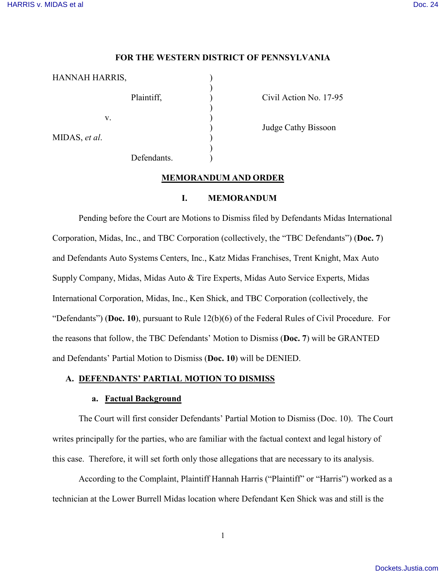#### **FOR THE WESTERN DISTRICT OF PENNSYLVANIA**

| HANNAH HARRIS, |             |  |
|----------------|-------------|--|
|                | Plaintiff,  |  |
| V.             |             |  |
| MIDAS, et al.  |             |  |
|                | Defendants. |  |

Civil Action No. 17-95

) Judge Cathy Bissoon

#### **MEMORANDUM AND ORDER**

#### **I. MEMORANDUM**

Pending before the Court are Motions to Dismiss filed by Defendants Midas International Corporation, Midas, Inc., and TBC Corporation (collectively, the "TBC Defendants") (**Doc. 7**) and Defendants Auto Systems Centers, Inc., Katz Midas Franchises, Trent Knight, Max Auto Supply Company, Midas, Midas Auto & Tire Experts, Midas Auto Service Experts, Midas International Corporation, Midas, Inc., Ken Shick, and TBC Corporation (collectively, the "Defendants") (**Doc. 10**), pursuant to Rule 12(b)(6) of the Federal Rules of Civil Procedure. For the reasons that follow, the TBC Defendants' Motion to Dismiss (**Doc. 7**) will be GRANTED and Defendants' Partial Motion to Dismiss (**Doc. 10**) will be DENIED.

#### **A. DEFENDANTS' PARTIAL MOTION TO DISMISS**

#### **a. Factual Background**

The Court will first consider Defendants' Partial Motion to Dismiss (Doc. 10). The Court writes principally for the parties, who are familiar with the factual context and legal history of this case. Therefore, it will set forth only those allegations that are necessary to its analysis.

According to the Complaint, Plaintiff Hannah Harris ("Plaintiff" or "Harris") worked as a technician at the Lower Burrell Midas location where Defendant Ken Shick was and still is the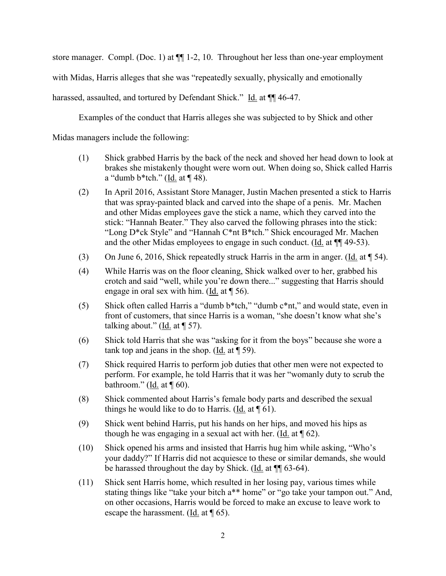store manager. Compl. (Doc. 1) at  $\P$ [1-2, 10. Throughout her less than one-year employment

with Midas, Harris alleges that she was "repeatedly sexually, physically and emotionally

harassed, assaulted, and tortured by Defendant Shick." Id. at  $\P$  46-47.

Examples of the conduct that Harris alleges she was subjected to by Shick and other

Midas managers include the following:

- (1) Shick grabbed Harris by the back of the neck and shoved her head down to look at brakes she mistakenly thought were worn out. When doing so, Shick called Harris a "dumb  $b$ \*tch." (Id. at ¶ 48).
- (2) In April 2016, Assistant Store Manager, Justin Machen presented a stick to Harris that was spray-painted black and carved into the shape of a penis. Mr. Machen and other Midas employees gave the stick a name, which they carved into the stick: "Hannah Beater." They also carved the following phrases into the stick: "Long D\*ck Style" and "Hannah C\*nt B\*tch." Shick encouraged Mr. Machen and the other Midas employees to engage in such conduct. (Id. at ¶¶ 49-53).
- (3) On June 6, 2016, Shick repeatedly struck Harris in the arm in anger. (Id. at ¶ 54).
- (4) While Harris was on the floor cleaning, Shick walked over to her, grabbed his crotch and said "well, while you're down there..." suggesting that Harris should engage in oral sex with him. (Id. at ¶ 56).
- (5) Shick often called Harris a "dumb b\*tch," "dumb c\*nt," and would state, even in front of customers, that since Harris is a woman, "she doesn't know what she's talking about." (Id. at  $\P$  57).
- (6) Shick told Harris that she was "asking for it from the boys" because she wore a tank top and jeans in the shop. (Id. at  $\P$  59).
- (7) Shick required Harris to perform job duties that other men were not expected to perform. For example, he told Harris that it was her "womanly duty to scrub the bathroom." (Id. at  $\P$  60).
- (8) Shick commented about Harris's female body parts and described the sexual things he would like to do to Harris. (Id. at  $\P$  61).
- (9) Shick went behind Harris, put his hands on her hips, and moved his hips as though he was engaging in a sexual act with her. (Id. at  $\P$  62).
- (10) Shick opened his arms and insisted that Harris hug him while asking, "Who's your daddy?" If Harris did not acquiesce to these or similar demands, she would be harassed throughout the day by Shick. (Id. at ¶¶ 63-64).
- (11) Shick sent Harris home, which resulted in her losing pay, various times while stating things like "take your bitch a\*\* home" or "go take your tampon out." And, on other occasions, Harris would be forced to make an excuse to leave work to escape the harassment. (Id. at ¶ 65).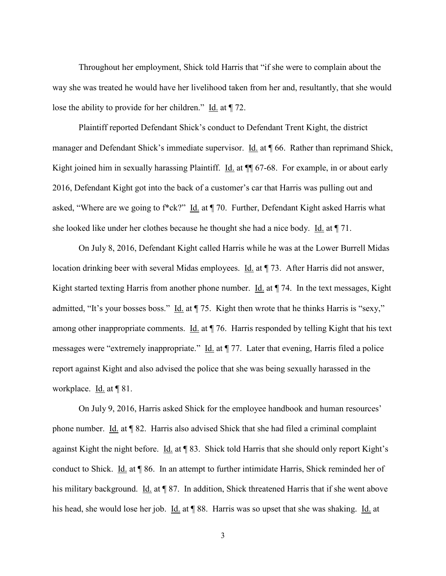Throughout her employment, Shick told Harris that "if she were to complain about the way she was treated he would have her livelihood taken from her and, resultantly, that she would lose the ability to provide for her children." Id. at ¶ 72.

Plaintiff reported Defendant Shick's conduct to Defendant Trent Kight, the district manager and Defendant Shick's immediate supervisor. Id. at 166. Rather than reprimand Shick, Kight joined him in sexually harassing Plaintiff. Id. at  $\P$  67-68. For example, in or about early 2016, Defendant Kight got into the back of a customer's car that Harris was pulling out and asked, "Where are we going to f\*ck?" Id. at ¶ 70. Further, Defendant Kight asked Harris what she looked like under her clothes because he thought she had a nice body. Id. at ¶ 71.

On July 8, 2016, Defendant Kight called Harris while he was at the Lower Burrell Midas location drinking beer with several Midas employees. Id. at ¶ 73. After Harris did not answer, Kight started texting Harris from another phone number. Id. at  $\P$  74. In the text messages, Kight admitted, "It's your bosses boss." Id. at  $\P$  75. Kight then wrote that he thinks Harris is "sexy," among other inappropriate comments. Id. at ¶ 76. Harris responded by telling Kight that his text messages were "extremely inappropriate." Id. at  $\P$  77. Later that evening, Harris filed a police report against Kight and also advised the police that she was being sexually harassed in the workplace. Id. at ¶ 81.

On July 9, 2016, Harris asked Shick for the employee handbook and human resources' phone number. Id. at ¶ 82. Harris also advised Shick that she had filed a criminal complaint against Kight the night before. Id. at ¶ 83. Shick told Harris that she should only report Kight's conduct to Shick. Id. at ¶ 86. In an attempt to further intimidate Harris, Shick reminded her of his military background. Id. at ¶ 87. In addition, Shick threatened Harris that if she went above his head, she would lose her job. Id. at ¶ 88. Harris was so upset that she was shaking. Id. at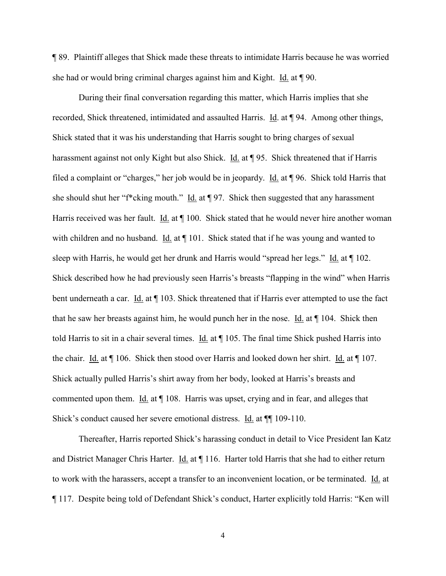¶ 89. Plaintiff alleges that Shick made these threats to intimidate Harris because he was worried she had or would bring criminal charges against him and Kight. Id. at ¶ 90.

During their final conversation regarding this matter, which Harris implies that she recorded, Shick threatened, intimidated and assaulted Harris. Id. at ¶ 94. Among other things, Shick stated that it was his understanding that Harris sought to bring charges of sexual harassment against not only Kight but also Shick. Id. at ¶ 95. Shick threatened that if Harris filed a complaint or "charges," her job would be in jeopardy. Id. at ¶ 96. Shick told Harris that she should shut her "f\*cking mouth." Id. at ¶ 97. Shick then suggested that any harassment Harris received was her fault. Id. at ¶ 100. Shick stated that he would never hire another woman with children and no husband. Id. at  $\P$  101. Shick stated that if he was young and wanted to sleep with Harris, he would get her drunk and Harris would "spread her legs." Id. at ¶ 102. Shick described how he had previously seen Harris's breasts "flapping in the wind" when Harris bent underneath a car. Id. at  $\P$  103. Shick threatened that if Harris ever attempted to use the fact that he saw her breasts against him, he would punch her in the nose. Id. at ¶ 104. Shick then told Harris to sit in a chair several times. Id. at  $\P$  105. The final time Shick pushed Harris into the chair. Id. at ¶ 106. Shick then stood over Harris and looked down her shirt. Id. at ¶ 107. Shick actually pulled Harris's shirt away from her body, looked at Harris's breasts and commented upon them. Id. at  $\P$  108. Harris was upset, crying and in fear, and alleges that Shick's conduct caused her severe emotional distress. Id. at ¶¶ 109-110.

Thereafter, Harris reported Shick's harassing conduct in detail to Vice President Ian Katz and District Manager Chris Harter. Id. at ¶ 116. Harter told Harris that she had to either return to work with the harassers, accept a transfer to an inconvenient location, or be terminated. Id. at ¶ 117. Despite being told of Defendant Shick's conduct, Harter explicitly told Harris: "Ken will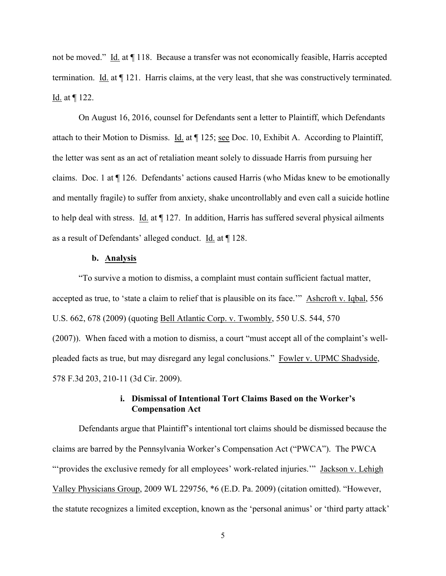not be moved." Id. at ¶ 118. Because a transfer was not economically feasible, Harris accepted termination. Id. at ¶ 121. Harris claims, at the very least, that she was constructively terminated. Id. at ¶ 122.

On August 16, 2016, counsel for Defendants sent a letter to Plaintiff, which Defendants attach to their Motion to Dismiss. Id. at ¶ 125; see Doc. 10, Exhibit A. According to Plaintiff, the letter was sent as an act of retaliation meant solely to dissuade Harris from pursuing her claims. Doc. 1 at ¶ 126. Defendants' actions caused Harris (who Midas knew to be emotionally and mentally fragile) to suffer from anxiety, shake uncontrollably and even call a suicide hotline to help deal with stress. Id. at  $\P$  127. In addition, Harris has suffered several physical ailments as a result of Defendants' alleged conduct. Id. at ¶ 128.

### **b. Analysis**

"To survive a motion to dismiss, a complaint must contain sufficient factual matter, accepted as true, to 'state a claim to relief that is plausible on its face.'" Ashcroft v. Iqbal, 556 U.S. 662, 678 (2009) (quoting Bell Atlantic Corp. v. Twombly, 550 U.S. 544, 570 (2007)). When faced with a motion to dismiss, a court "must accept all of the complaint's wellpleaded facts as true, but may disregard any legal conclusions." Fowler v. UPMC Shadyside, 578 F.3d 203, 210-11 (3d Cir. 2009).

## **i. Dismissal of Intentional Tort Claims Based on the Worker's Compensation Act**

Defendants argue that Plaintiff's intentional tort claims should be dismissed because the claims are barred by the Pennsylvania Worker's Compensation Act ("PWCA"). The PWCA "'provides the exclusive remedy for all employees' work-related injuries."" Jackson v. Lehigh Valley Physicians Group, 2009 WL 229756, \*6 (E.D. Pa. 2009) (citation omitted). "However, the statute recognizes a limited exception, known as the 'personal animus' or 'third party attack'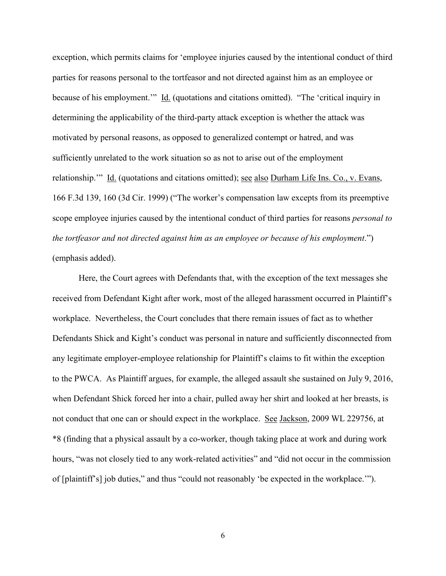exception, which permits claims for 'employee injuries caused by the intentional conduct of third parties for reasons personal to the tortfeasor and not directed against him as an employee or because of his employment.'" Id. (quotations and citations omitted). "The 'critical inquiry in determining the applicability of the third-party attack exception is whether the attack was motivated by personal reasons, as opposed to generalized contempt or hatred, and was sufficiently unrelated to the work situation so as not to arise out of the employment relationship."" Id. (quotations and citations omitted); see also Durham Life Ins. Co., v. Evans, 166 F.3d 139, 160 (3d Cir. 1999) ("The worker's compensation law excepts from its preemptive scope employee injuries caused by the intentional conduct of third parties for reasons *personal to the tortfeasor and not directed against him as an employee or because of his employment*.") (emphasis added).

Here, the Court agrees with Defendants that, with the exception of the text messages she received from Defendant Kight after work, most of the alleged harassment occurred in Plaintiff's workplace. Nevertheless, the Court concludes that there remain issues of fact as to whether Defendants Shick and Kight's conduct was personal in nature and sufficiently disconnected from any legitimate employer-employee relationship for Plaintiff's claims to fit within the exception to the PWCA. As Plaintiff argues, for example, the alleged assault she sustained on July 9, 2016, when Defendant Shick forced her into a chair, pulled away her shirt and looked at her breasts, is not conduct that one can or should expect in the workplace. See Jackson, 2009 WL 229756, at \*8 (finding that a physical assault by a co-worker, though taking place at work and during work hours, "was not closely tied to any work-related activities" and "did not occur in the commission of [plaintiff's] job duties," and thus "could not reasonably 'be expected in the workplace.'").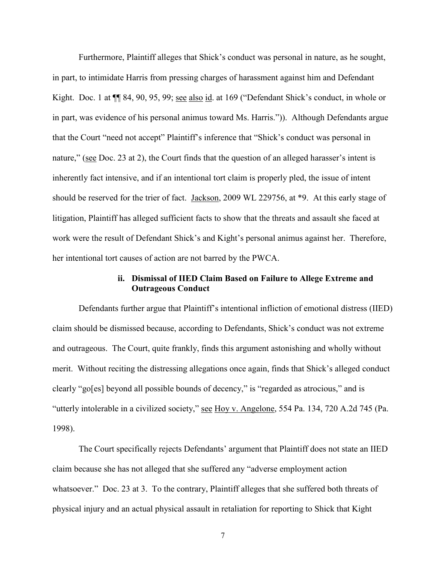Furthermore, Plaintiff alleges that Shick's conduct was personal in nature, as he sought, in part, to intimidate Harris from pressing charges of harassment against him and Defendant Kight. Doc. 1 at  $\P$  84, 90, 95, 99; see also id. at 169 ("Defendant Shick's conduct, in whole or in part, was evidence of his personal animus toward Ms. Harris.")). Although Defendants argue that the Court "need not accept" Plaintiff's inference that "Shick's conduct was personal in nature," (see Doc. 23 at 2), the Court finds that the question of an alleged harasser's intent is inherently fact intensive, and if an intentional tort claim is properly pled, the issue of intent should be reserved for the trier of fact. <u>Jackson</u>, 2009 WL 229756, at \*9. At this early stage of litigation, Plaintiff has alleged sufficient facts to show that the threats and assault she faced at work were the result of Defendant Shick's and Kight's personal animus against her. Therefore, her intentional tort causes of action are not barred by the PWCA.

## **ii. Dismissal of IIED Claim Based on Failure to Allege Extreme and Outrageous Conduct**

Defendants further argue that Plaintiff's intentional infliction of emotional distress (IIED) claim should be dismissed because, according to Defendants, Shick's conduct was not extreme and outrageous. The Court, quite frankly, finds this argument astonishing and wholly without merit. Without reciting the distressing allegations once again, finds that Shick's alleged conduct clearly "go[es] beyond all possible bounds of decency," is "regarded as atrocious," and is "utterly intolerable in a civilized society," see Hoy v. Angelone, 554 Pa. 134, 720 A.2d 745 (Pa. 1998).

The Court specifically rejects Defendants' argument that Plaintiff does not state an IIED claim because she has not alleged that she suffered any "adverse employment action whatsoever." Doc. 23 at 3. To the contrary, Plaintiff alleges that she suffered both threats of physical injury and an actual physical assault in retaliation for reporting to Shick that Kight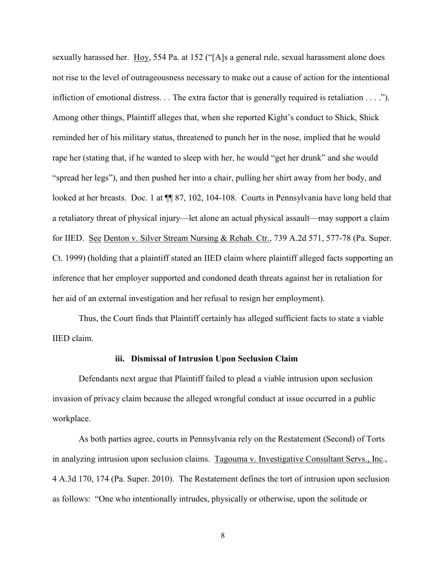sexually harassed her. Hoy, 554 Pa. at 152 ("[A]s a general rule, sexual harassment alone does not rise to the level of outrageousness necessary to make out a cause of action for the intentional infliction of emotional distress. . . The extra factor that is generally required is retaliation . . . ."). Among other things, Plaintiff alleges that, when she reported Kight's conduct to Shick, Shick reminded her of his military status, threatened to punch her in the nose, implied that he would rape her (stating that, if he wanted to sleep with her, he would "get her drunk" and she would "spread her legs"), and then pushed her into a chair, pulling her shirt away from her body, and looked at her breasts. Doc. 1 at  $\P$  87, 102, 104-108. Courts in Pennsylvania have long held that a retaliatory threat of physical injury—let alone an actual physical assault—may support a claim for IIED. See Denton v. Silver Stream Nursing & Rehab. Ctr., 739 A.2d 571, 577-78 (Pa. Super. Ct. 1999) (holding that a plaintiff stated an IIED claim where plaintiff alleged facts supporting an inference that her employer supported and condoned death threats against her in retaliation for her aid of an external investigation and her refusal to resign her employment).

Thus, the Court finds that Plaintiff certainly has alleged sufficient facts to state a viable IIED claim.

#### **iii. Dismissal of Intrusion Upon Seclusion Claim**

Defendants next argue that Plaintiff failed to plead a viable intrusion upon seclusion invasion of privacy claim because the alleged wrongful conduct at issue occurred in a public workplace.

As both parties agree, courts in Pennsylvania rely on the Restatement (Second) of Torts in analyzing intrusion upon seclusion claims. Tagouma v. Investigative Consultant Servs., Inc., 4 A.3d 170, 174 (Pa. Super. 2010). The Restatement defines the tort of intrusion upon seclusion as follows: "One who intentionally intrudes, physically or otherwise, upon the solitude or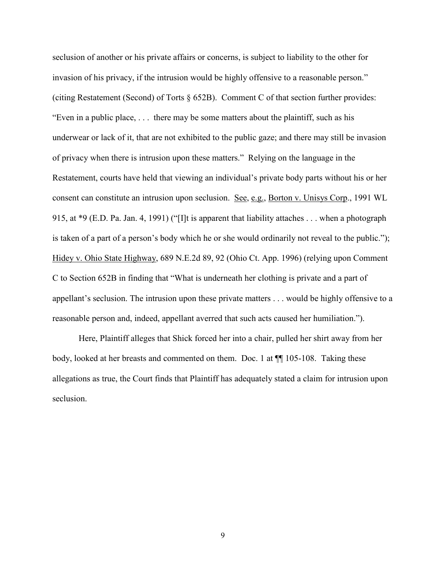seclusion of another or his private affairs or concerns, is subject to liability to the other for invasion of his privacy, if the intrusion would be highly offensive to a reasonable person." (citing Restatement (Second) of Torts § 652B). Comment C of that section further provides: "Even in a public place, . . . there may be some matters about the plaintiff, such as his underwear or lack of it, that are not exhibited to the public gaze; and there may still be invasion of privacy when there is intrusion upon these matters." Relying on the language in the Restatement, courts have held that viewing an individual's private body parts without his or her consent can constitute an intrusion upon seclusion. See, e.g., Borton v. Unisys Corp., 1991 WL 915, at \*9 (E.D. Pa. Jan. 4, 1991) ("[I]t is apparent that liability attaches . . . when a photograph is taken of a part of a person's body which he or she would ordinarily not reveal to the public."); Hidey v. Ohio State Highway, 689 N.E.2d 89, 92 (Ohio Ct. App. 1996) (relying upon Comment C to Section 652B in finding that "What is underneath her clothing is private and a part of appellant's seclusion. The intrusion upon these private matters . . . would be highly offensive to a reasonable person and, indeed, appellant averred that such acts caused her humiliation.").

Here, Plaintiff alleges that Shick forced her into a chair, pulled her shirt away from her body, looked at her breasts and commented on them. Doc. 1 at ¶¶ 105-108. Taking these allegations as true, the Court finds that Plaintiff has adequately stated a claim for intrusion upon seclusion.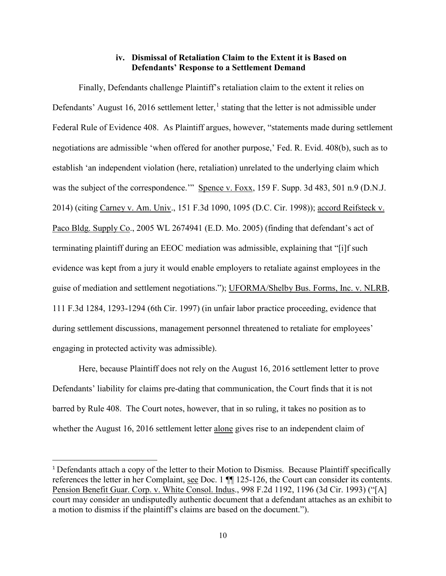## **iv. Dismissal of Retaliation Claim to the Extent it is Based on Defendants' Response to a Settlement Demand**

Finally, Defendants challenge Plaintiff's retaliation claim to the extent it relies on Defendants' August [1](#page-9-0)6, 2016 settlement letter,<sup>1</sup> stating that the letter is not admissible under Federal Rule of Evidence 408. As Plaintiff argues, however, "statements made during settlement negotiations are admissible 'when offered for another purpose,' Fed. R. Evid. 408(b), such as to establish 'an independent violation (here, retaliation) unrelated to the underlying claim which was the subject of the correspondence.'" Spence v. Foxx, 159 F. Supp. 3d 483, 501 n.9 (D.N.J. 2014) (citing Carney v. Am. Univ., 151 F.3d 1090, 1095 (D.C. Cir. 1998)); accord Reifsteck v. Paco Bldg. Supply Co., 2005 WL 2674941 (E.D. Mo. 2005) (finding that defendant's act of terminating plaintiff during an EEOC mediation was admissible, explaining that "[i]f such evidence was kept from a jury it would enable employers to retaliate against employees in the guise of mediation and settlement negotiations."); UFORMA/Shelby Bus. Forms, Inc. v. NLRB, 111 F.3d 1284, 1293-1294 (6th Cir. 1997) (in unfair labor practice proceeding, evidence that during settlement discussions, management personnel threatened to retaliate for employees' engaging in protected activity was admissible).

Here, because Plaintiff does not rely on the August 16, 2016 settlement letter to prove Defendants' liability for claims pre-dating that communication, the Court finds that it is not barred by Rule 408. The Court notes, however, that in so ruling, it takes no position as to whether the August 16, 2016 settlement letter alone gives rise to an independent claim of

<span id="page-9-0"></span><sup>&</sup>lt;sup>1</sup> Defendants attach a copy of the letter to their Motion to Dismiss. Because Plaintiff specifically references the letter in her Complaint, see Doc. 1 ¶¶ 125-126, the Court can consider its contents. Pension Benefit Guar. Corp. v. White Consol. Indus., 998 F.2d 1192, 1196 (3d Cir. 1993) ("[A] court may consider an undisputedly authentic document that a defendant attaches as an exhibit to a motion to dismiss if the plaintiff's claims are based on the document.").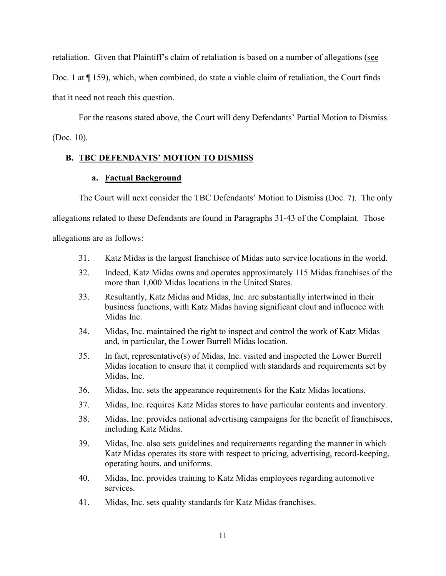retaliation. Given that Plaintiff's claim of retaliation is based on a number of allegations (see Doc. 1 at ¶ 159), which, when combined, do state a viable claim of retaliation, the Court finds

that it need not reach this question.

For the reasons stated above, the Court will deny Defendants' Partial Motion to Dismiss (Doc. 10).

# **B. TBC DEFENDANTS' MOTION TO DISMISS**

## **a. Factual Background**

The Court will next consider the TBC Defendants' Motion to Dismiss (Doc. 7). The only

allegations related to these Defendants are found in Paragraphs 31-43 of the Complaint.Those

allegations are as follows:

- 31. Katz Midas is the largest franchisee of Midas auto service locations in the world.
- 32. Indeed, Katz Midas owns and operates approximately 115 Midas franchises of the more than 1,000 Midas locations in the United States.
- 33. Resultantly, Katz Midas and Midas, Inc. are substantially intertwined in their business functions, with Katz Midas having significant clout and influence with Midas Inc.
- 34. Midas, Inc. maintained the right to inspect and control the work of Katz Midas and, in particular, the Lower Burrell Midas location.
- 35. In fact, representative(s) of Midas, Inc. visited and inspected the Lower Burrell Midas location to ensure that it complied with standards and requirements set by Midas, Inc.
- 36. Midas, Inc. sets the appearance requirements for the Katz Midas locations.
- 37. Midas, Inc. requires Katz Midas stores to have particular contents and inventory.
- 38. Midas, Inc. provides national advertising campaigns for the benefit of franchisees, including Katz Midas.
- 39. Midas, Inc. also sets guidelines and requirements regarding the manner in which Katz Midas operates its store with respect to pricing, advertising, record-keeping, operating hours, and uniforms.
- 40. Midas, Inc. provides training to Katz Midas employees regarding automotive services.
- 41. Midas, Inc. sets quality standards for Katz Midas franchises.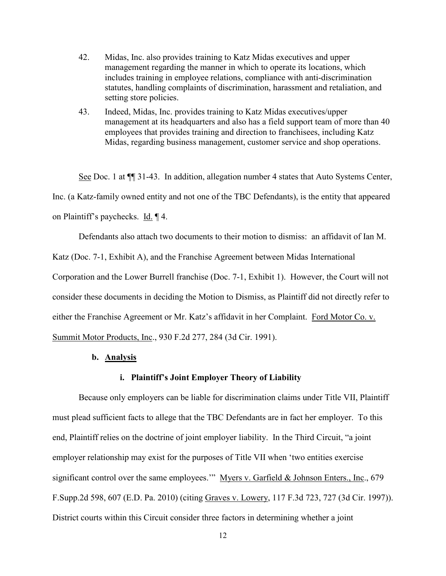- 42. Midas, Inc. also provides training to Katz Midas executives and upper management regarding the manner in which to operate its locations, which includes training in employee relations, compliance with anti-discrimination statutes, handling complaints of discrimination, harassment and retaliation, and setting store policies.
- 43. Indeed, Midas, Inc. provides training to Katz Midas executives/upper management at its headquarters and also has a field support team of more than 40 employees that provides training and direction to franchisees, including Katz Midas, regarding business management, customer service and shop operations.

See Doc. 1 at ¶¶ 31-43. In addition, allegation number 4 states that Auto Systems Center, Inc. (a Katz-family owned entity and not one of the TBC Defendants), is the entity that appeared on Plaintiff's paychecks. Id. ¶ 4.

Defendants also attach two documents to their motion to dismiss: an affidavit of Ian M. Katz (Doc. 7-1, Exhibit A), and the Franchise Agreement between Midas International Corporation and the Lower Burrell franchise (Doc. 7-1, Exhibit 1). However, the Court will not consider these documents in deciding the Motion to Dismiss, as Plaintiff did not directly refer to either the Franchise Agreement or Mr. Katz's affidavit in her Complaint. Ford Motor Co. v.

Summit Motor Products, Inc., 930 F.2d 277, 284 (3d Cir. 1991).

## **b. Analysis**

## **i. Plaintiff's Joint Employer Theory of Liability**

Because only employers can be liable for discrimination claims under Title VII, Plaintiff must plead sufficient facts to allege that the TBC Defendants are in fact her employer. To this end, Plaintiff relies on the doctrine of joint employer liability. In the Third Circuit, "a joint employer relationship may exist for the purposes of Title VII when 'two entities exercise significant control over the same employees."" Myers v. Garfield & Johnson Enters., Inc., 679 F.Supp.2d 598, 607 (E.D. Pa. 2010) (citing Graves v. Lowery, 117 F.3d 723, 727 (3d Cir. 1997)). District courts within this Circuit consider three factors in determining whether a joint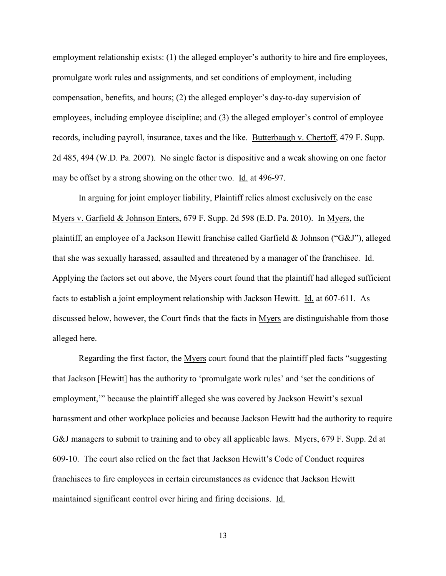employment relationship exists: (1) the alleged employer's authority to hire and fire employees, promulgate work rules and assignments, and set conditions of employment, including compensation, benefits, and hours; (2) the alleged employer's day-to-day supervision of employees, including employee discipline; and (3) the alleged employer's control of employee records, including payroll, insurance, taxes and the like. Butterbaugh v. Chertoff, 479 F. Supp. 2d 485, 494 (W.D. Pa. 2007). No single factor is dispositive and a weak showing on one factor may be offset by a strong showing on the other two. Id. at 496-97.

In arguing for joint employer liability, Plaintiff relies almost exclusively on the case Myers v. Garfield & Johnson Enters, 679 F. Supp. 2d 598 (E.D. Pa. 2010). In Myers, the plaintiff, an employee of a Jackson Hewitt franchise called Garfield & Johnson ("G&J"), alleged that she was sexually harassed, assaulted and threatened by a manager of the franchisee. Id. Applying the factors set out above, the Myers court found that the plaintiff had alleged sufficient facts to establish a joint employment relationship with Jackson Hewitt. **Id.** at 607-611. As discussed below, however, the Court finds that the facts in Myers are distinguishable from those alleged here.

Regarding the first factor, the Myers court found that the plaintiff pled facts "suggesting that Jackson [Hewitt] has the authority to 'promulgate work rules' and 'set the conditions of employment,'" because the plaintiff alleged she was covered by Jackson Hewitt's sexual harassment and other workplace policies and because Jackson Hewitt had the authority to require G&J managers to submit to training and to obey all applicable laws. Myers, 679 F. Supp. 2d at 609-10. The court also relied on the fact that Jackson Hewitt's Code of Conduct requires franchisees to fire employees in certain circumstances as evidence that Jackson Hewitt maintained significant control over hiring and firing decisions. Id.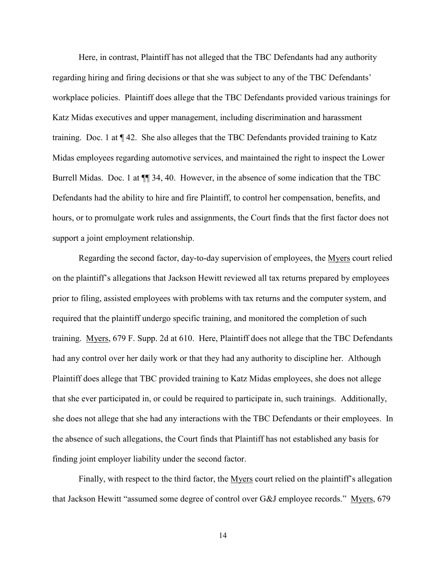Here, in contrast, Plaintiff has not alleged that the TBC Defendants had any authority regarding hiring and firing decisions or that she was subject to any of the TBC Defendants' workplace policies. Plaintiff does allege that the TBC Defendants provided various trainings for Katz Midas executives and upper management, including discrimination and harassment training. Doc. 1 at ¶ 42. She also alleges that the TBC Defendants provided training to Katz Midas employees regarding automotive services, and maintained the right to inspect the Lower Burrell Midas. Doc. 1 at ¶¶ 34, 40. However, in the absence of some indication that the TBC Defendants had the ability to hire and fire Plaintiff, to control her compensation, benefits, and hours, or to promulgate work rules and assignments, the Court finds that the first factor does not support a joint employment relationship.

Regarding the second factor, day-to-day supervision of employees, the Myers court relied on the plaintiff's allegations that Jackson Hewitt reviewed all tax returns prepared by employees prior to filing, assisted employees with problems with tax returns and the computer system, and required that the plaintiff undergo specific training, and monitored the completion of such training. Myers, 679 F. Supp. 2d at 610. Here, Plaintiff does not allege that the TBC Defendants had any control over her daily work or that they had any authority to discipline her. Although Plaintiff does allege that TBC provided training to Katz Midas employees, she does not allege that she ever participated in, or could be required to participate in, such trainings. Additionally, she does not allege that she had any interactions with the TBC Defendants or their employees. In the absence of such allegations, the Court finds that Plaintiff has not established any basis for finding joint employer liability under the second factor.

Finally, with respect to the third factor, the Myers court relied on the plaintiff's allegation that Jackson Hewitt "assumed some degree of control over G&J employee records." Myers, 679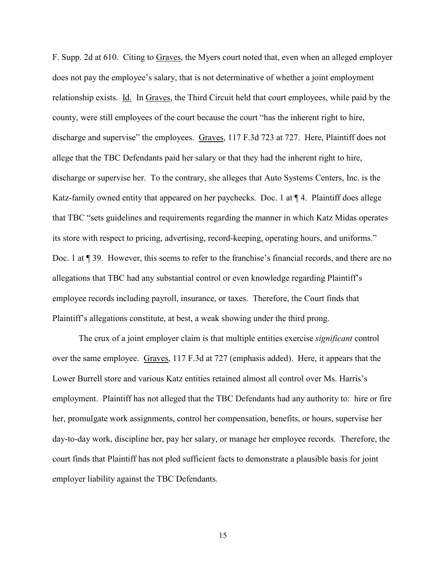F. Supp. 2d at 610. Citing to Graves, the Myers court noted that, even when an alleged employer does not pay the employee's salary, that is not determinative of whether a joint employment relationship exists. Id. In Graves, the Third Circuit held that court employees, while paid by the county, were still employees of the court because the court "has the inherent right to hire, discharge and supervise" the employees. Graves, 117 F.3d 723 at 727. Here, Plaintiff does not allege that the TBC Defendants paid her salary or that they had the inherent right to hire, discharge or supervise her. To the contrary, she alleges that Auto Systems Centers, Inc. is the Katz-family owned entity that appeared on her paychecks. Doc. 1 at  $\P$  4. Plaintiff does allege that TBC "sets guidelines and requirements regarding the manner in which Katz Midas operates its store with respect to pricing, advertising, record-keeping, operating hours, and uniforms." Doc. 1 at  $\P$  39. However, this seems to refer to the franchise's financial records, and there are no allegations that TBC had any substantial control or even knowledge regarding Plaintiff's employee records including payroll, insurance, or taxes. Therefore, the Court finds that Plaintiff's allegations constitute, at best, a weak showing under the third prong.

The crux of a joint employer claim is that multiple entities exercise *significant* control over the same employee. Graves, 117 F.3d at 727 (emphasis added). Here, it appears that the Lower Burrell store and various Katz entities retained almost all control over Ms. Harris's employment. Plaintiff has not alleged that the TBC Defendants had any authority to: hire or fire her, promulgate work assignments, control her compensation, benefits, or hours, supervise her day-to-day work, discipline her, pay her salary, or manage her employee records. Therefore, the court finds that Plaintiff has not pled sufficient facts to demonstrate a plausible basis for joint employer liability against the TBC Defendants.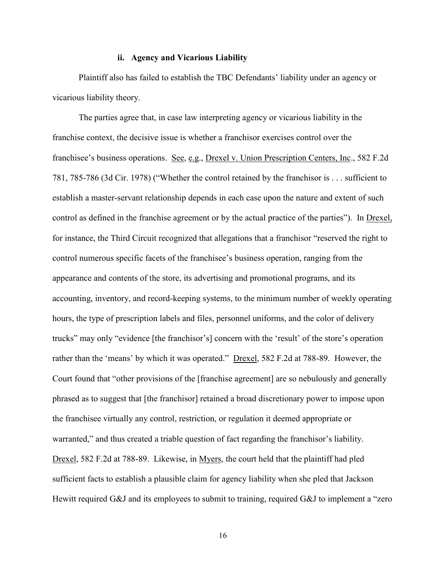#### **ii. Agency and Vicarious Liability**

Plaintiff also has failed to establish the TBC Defendants' liability under an agency or vicarious liability theory.

The parties agree that, in case law interpreting agency or vicarious liability in the franchise context, the decisive issue is whether a franchisor exercises control over the franchisee's business operations. See, e.g., Drexel v. Union Prescription Centers, Inc., 582 F.2d 781, 785-786 (3d Cir. 1978) ("Whether the control retained by the franchisor is . . . sufficient to establish a master-servant relationship depends in each case upon the nature and extent of such control as defined in the franchise agreement or by the actual practice of the parties"). In Drexel, for instance, the Third Circuit recognized that allegations that a franchisor "reserved the right to control numerous specific facets of the franchisee's business operation, ranging from the appearance and contents of the store, its advertising and promotional programs, and its accounting, inventory, and record-keeping systems, to the minimum number of weekly operating hours, the type of prescription labels and files, personnel uniforms, and the color of delivery trucks" may only "evidence [the franchisor's] concern with the 'result' of the store's operation rather than the 'means' by which it was operated." Drexel, 582 F.2d at 788-89. However, the Court found that "other provisions of the [franchise agreement] are so nebulously and generally phrased as to suggest that [the franchisor] retained a broad discretionary power to impose upon the franchisee virtually any control, restriction, or regulation it deemed appropriate or warranted," and thus created a triable question of fact regarding the franchisor's liability. Drexel, 582 F.2d at 788-89. Likewise, in Myers, the court held that the plaintiff had pled sufficient facts to establish a plausible claim for agency liability when she pled that Jackson Hewitt required G&J and its employees to submit to training, required G&J to implement a "zero"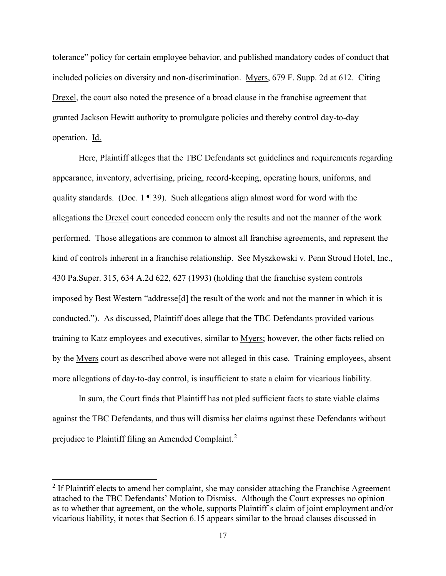tolerance" policy for certain employee behavior, and published mandatory codes of conduct that included policies on diversity and non-discrimination. Myers, 679 F. Supp. 2d at 612. Citing Drexel, the court also noted the presence of a broad clause in the franchise agreement that granted Jackson Hewitt authority to promulgate policies and thereby control day-to-day operation. Id.

Here, Plaintiff alleges that the TBC Defendants set guidelines and requirements regarding appearance, inventory, advertising, pricing, record-keeping, operating hours, uniforms, and quality standards. (Doc.  $1 \nvert 39$ ). Such allegations align almost word for word with the allegations the Drexel court conceded concern only the results and not the manner of the work performed. Those allegations are common to almost all franchise agreements, and represent the kind of controls inherent in a franchise relationship. See Myszkowski v. Penn Stroud Hotel, Inc., 430 Pa.Super. 315, 634 A.2d 622, 627 (1993) (holding that the franchise system controls imposed by Best Western "addresse[d] the result of the work and not the manner in which it is conducted."). As discussed, Plaintiff does allege that the TBC Defendants provided various training to Katz employees and executives, similar to Myers; however, the other facts relied on by the Myers court as described above were not alleged in this case. Training employees, absent more allegations of day-to-day control, is insufficient to state a claim for vicarious liability.

In sum, the Court finds that Plaintiff has not pled sufficient facts to state viable claims against the TBC Defendants, and thus will dismiss her claims against these Defendants without prejudice to Plaintiff filing an Amended Complaint.<sup>[2](#page-16-0)</sup>

 $\overline{\phantom{a}}$ 

<span id="page-16-0"></span> $2$  If Plaintiff elects to amend her complaint, she may consider attaching the Franchise Agreement attached to the TBC Defendants' Motion to Dismiss. Although the Court expresses no opinion as to whether that agreement, on the whole, supports Plaintiff's claim of joint employment and/or vicarious liability, it notes that Section 6.15 appears similar to the broad clauses discussed in